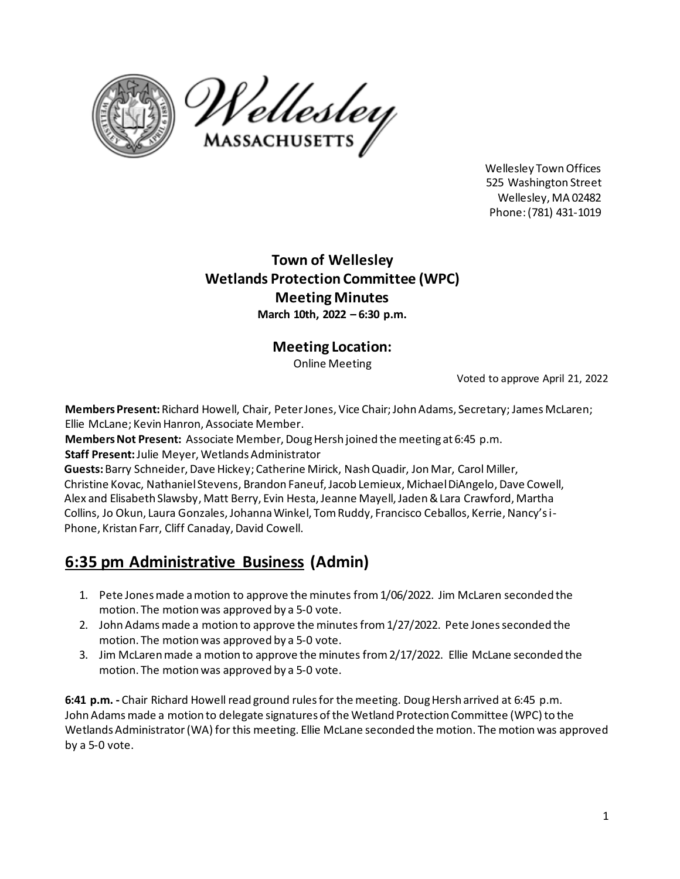



Wellesley TownOffices 525 Washington Street Wellesley, MA 02482 Phone: (781) 431‐1019

## **Town of Wellesley Wetlands Protection Committee (WPC) Meeting Minutes March 10th, 2022 – 6:30 p.m.**

### **Meeting Location:**

Online Meeting

Voted to approve April 21, 2022

**Members Present:** Richard Howell, Chair, Peter Jones, Vice Chair;John Adams, Secretary; James McLaren; Ellie McLane; Kevin Hanron, Associate Member.

**Members Not Present:** Associate Member, Doug Hersh joined the meeting at 6:45 p.m.

**Staff Present:** Julie Meyer, Wetlands Administrator

**Guests:**Barry Schneider, Dave Hickey; Catherine Mirick, Nash Quadir, Jon Mar, Carol Miller, Christine Kovac, Nathaniel Stevens, Brandon Faneuf, Jacob Lemieux, Michael DiAngelo,Dave Cowell, Alex and Elisabeth Slawsby, Matt Berry, Evin Hesta, Jeanne Mayell, Jaden & Lara Crawford, Martha Collins, Jo Okun, Laura Gonzales, Johanna Winkel, Tom Ruddy, Francisco Ceballos, Kerrie, Nancy's i-Phone, Kristan Farr, Cliff Canaday, David Cowell.

# **6:35 pm Administrative Business (Admin)**

- 1. Pete Jones made a motion to approve the minutes from1/06/2022. Jim McLaren seconded the motion. The motion was approved by a 5‐0 vote.
- 2. John Adams made a motion to approve the minutes from 1/27/2022. Pete Jones seconded the motion. The motion was approved by a 5‐0 vote.
- 3. Jim McLaren made a motion to approve the minutes from2/17/2022. Ellie McLane seconded the motion. The motion was approved by a 5‐0 vote.

**6:41 p.m. -** Chair Richard Howell read ground rules for the meeting. Doug Hersh arrived at 6:45 p.m. John Adams made a motion to delegate signatures of the Wetland Protection Committee (WPC) to the Wetlands Administrator (WA) for this meeting. Ellie McLane seconded the motion. The motion was approved by a 5-0 vote.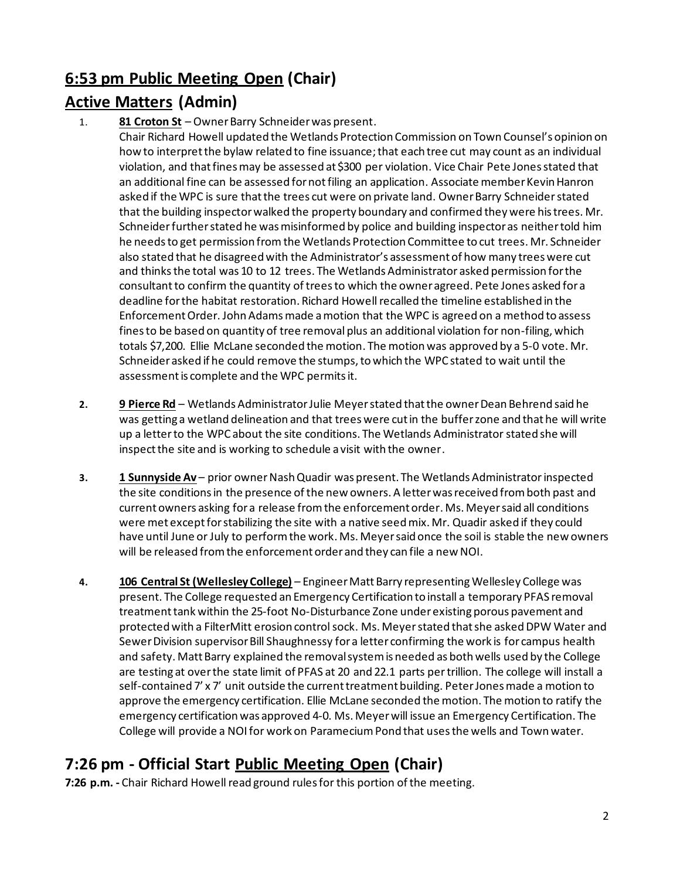## **6:53 pm Public Meeting Open (Chair)**

## **Active Matters (Admin)**

1. **81 Croton St** – Owner Barry Schneider was present.

Chair Richard Howell updated the Wetlands Protection Commission on Town Counsel's opinion on how to interpret the bylaw related to fine issuance; that each tree cut may count as an individual violation, and that fines may be assessed at \$300 per violation. Vice Chair Pete Jones stated that an additional fine can be assessed for not filing an application. Associate member Kevin Hanron asked if the WPC is sure that the trees cut were on private land. Owner Barry Schneider stated that the building inspector walked the property boundary and confirmed they were his trees. Mr. Schneiderfurtherstated he was misinformed by police and building inspector as neither told him he needs to get permission from the Wetlands Protection Committee to cut trees. Mr. Schneider also stated that he disagreed with the Administrator's assessment of how many trees were cut and thinksthe total was 10 to 12 trees. The Wetlands Administrator asked permission for the consultant to confirm the quantity of treesto which the owner agreed. Pete Jones asked for a deadline for the habitat restoration. Richard Howell recalled the timeline established in the Enforcement Order. John Adams made a motion that the WPC is agreed on a method to assess fines to be based on quantity of tree removal plus an additional violation for non-filing, which totals \$7,200. Ellie McLane seconded the motion. The motion was approved by a 5-0 vote. Mr. Schneider asked if he could remove the stumps, to which the WPC stated to wait until the assessment is complete and the WPC permits it.

- **2. 9 Pierce Rd** Wetlands Administrator Julie Meyer stated that the owner Dean Behrend said he was getting a wetland delineation and that trees were cut in the buffer zone and that he will write up a letter to the WPC about the site conditions. The Wetlands Administrator stated she will inspect the site and is working to schedule a visit with the owner.
- **3. 1 Sunnyside Av** prior owner Nash Quadir was present. The Wetlands Administrator inspected the site conditions in the presence of the new owners. A letter was received from both past and current owners asking for a release from the enforcement order. Ms. Meyer said all conditions were met except for stabilizing the site with a native seed mix. Mr. Quadir asked if they could have until June or July to perform the work. Ms. Meyer said once the soil is stable the new owners will be released from the enforcement order and they can file a new NOI.
- **4. 106 Central St (Wellesley College)** Engineer Matt Barry representing Wellesley College was present. The College requested an Emergency Certification to install a temporary PFAS removal treatment tank within the 25-foot No-Disturbance Zone under existing porous pavement and protected with a FilterMitt erosion control sock. Ms. Meyer stated that she askedDPW Water and Sewer Division supervisor Bill Shaughnessy for a letter confirming the work is for campus health and safety. Matt Barry explained the removal system is needed as both wells used by the College are testing at over the state limit of PFAS at 20 and 22.1 parts per trillion. The college will install a self-contained 7' x 7' unit outside the current treatment building. Peter Jones made a motion to approve the emergency certification. Ellie McLane seconded the motion. The motion to ratify the emergency certification was approved 4-0. Ms. Meyer will issue an Emergency Certification. The College will provide a NOI for work on Paramecium Pond that usesthe wells and Town water.

# **7:26 pm ‐ Official Start Public Meeting Open (Chair)**

**7:26 p.m. -** Chair Richard Howell read ground rules for this portion of the meeting.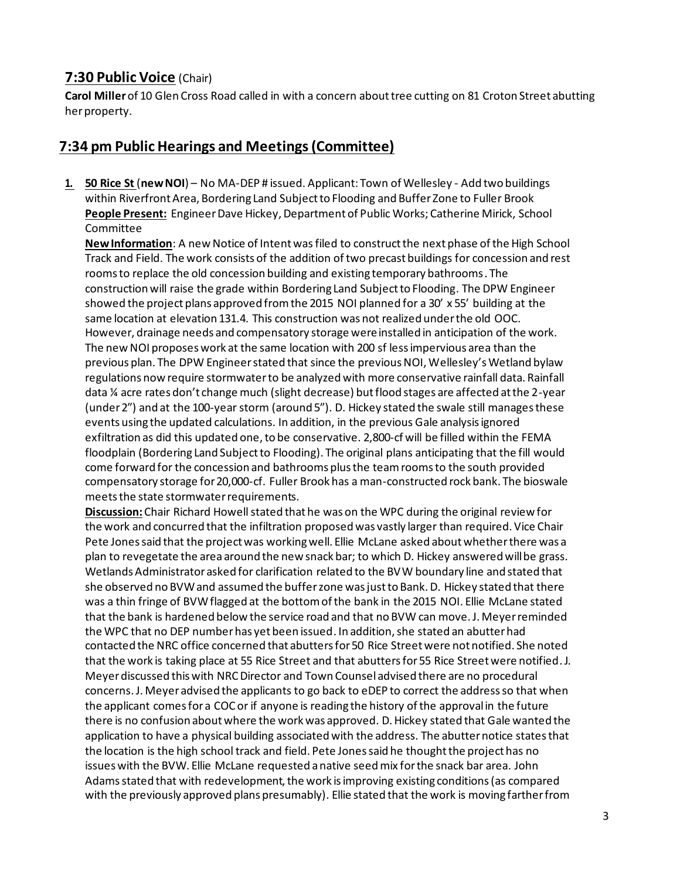### **7:30 Public Voice** (Chair)

**Carol Miller** of 10 Glen Cross Road called in with a concern about tree cutting on 81 Croton Street abutting her property.

#### **7:34 pm Public Hearings and Meetings (Committee)**

**1. 50 Rice St** (**new NOI**) – No MA-DEP # issued. Applicant: Town of Wellesley - Add two buildings within Riverfront Area, Bordering Land Subject to Flooding and Buffer Zone to Fuller Brook **People Present:** Engineer Dave Hickey, Department of Public Works; Catherine Mirick, School Committee

**New Information**: A new Notice of Intent was filed to construct the next phase of the High School Track and Field. The work consists of the addition of two precast buildings for concession and rest rooms to replace the old concession building and existing temporary bathrooms. The construction will raise the grade within Bordering Land Subject to Flooding. The DPW Engineer showed the project plans approved from the 2015 NOI planned for a 30' x 55' building at the same location at elevation 131.4. This construction was not realized under the old OOC. However, drainage needs and compensatory storage were installed in anticipation of the work. The new NOI proposes work at the same location with 200 sf less impervious area than the previous plan. The DPW Engineer stated that since the previous NOI, Wellesley's Wetland bylaw regulations now require stormwater to be analyzed with more conservative rainfall data. Rainfall data ¼ acre rates don't change much (slight decrease) but flood stages are affected at the 2-year (under 2") and at the 100-year storm (around 5"). D. Hickey stated the swale still manages these events using the updated calculations. In addition, in the previous Gale analysis ignored exfiltration as did this updated one, to be conservative. 2,800-cf will be filled within the FEMA floodplain (Bordering Land Subject to Flooding). The original plans anticipating that the fill would come forward for the concession and bathrooms plus the team rooms to the south provided compensatory storage for 20,000-cf. Fuller Brook has a man-constructed rock bank. The bioswale meets the state stormwater requirements.

**Discussion:**Chair Richard Howell stated that he was on the WPC during the original review for the work and concurred that the infiltration proposed was vastly larger than required. Vice Chair Pete Jones said that the project was working well. Ellie McLane asked about whether there was a plan to revegetate the area around the new snack bar; to which D. Hickey answered will be grass. Wetlands Administrator asked for clarification related to the BVW boundary line and stated that she observed no BVW and assumed the buffer zone was just to Bank. D. Hickey stated that there was a thin fringe of BVWflagged at the bottom of the bank in the 2015 NOI. Ellie McLane stated that the bank is hardened below the service road and that no BVW can move. J. Meyer reminded the WPC that no DEP number has yet been issued. In addition, she stated an abutter had contacted the NRC office concerned that abutters for 50 Rice Street were not notified. She noted that the work is taking place at 55 Rice Street and that abutters for 55 Rice Street were notified.J. Meyer discussed this with NRC Director and Town Counsel advised there are no procedural concerns.J. Meyer advised the applicants to go back to eDEP to correct the address so that when the applicant comes for a COC or if anyone is reading the history of the approval in the future there is no confusion about where the work was approved. D. Hickey stated that Gale wanted the application to have a physical building associated with the address. The abutter notice states that the location is the high school track and field. Pete Jones said he thought the project has no issues with the BVW. Ellie McLane requested a native seed mix for the snack bar area. John Adams stated that with redevelopment, the work is improving existing conditions (as compared with the previously approved plans presumably). Ellie stated that the work is moving farther from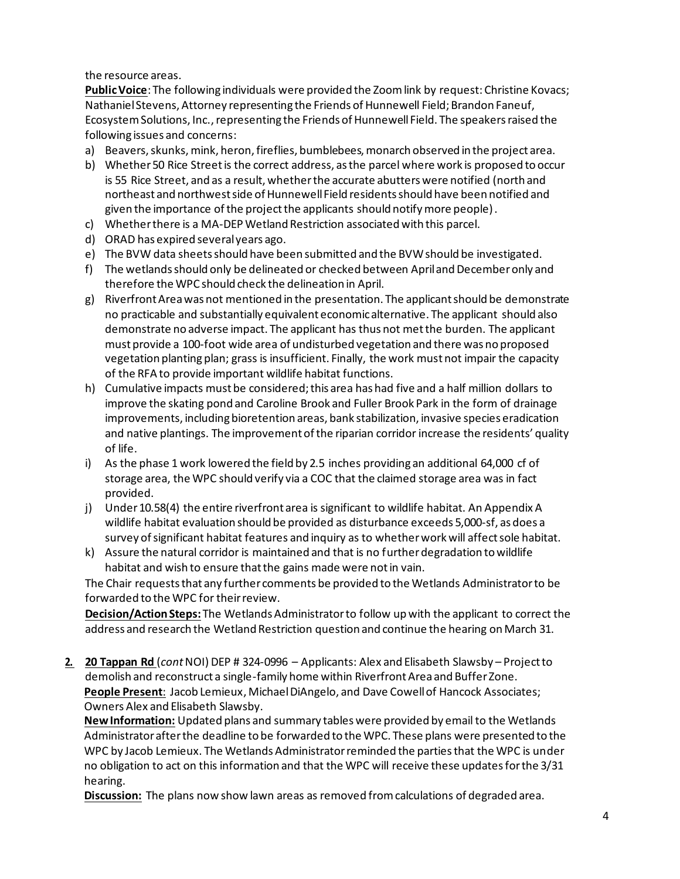the resource areas.

**PublicVoice**: The following individuals were provided the Zoom link by request: Christine Kovacs; Nathaniel Stevens, Attorney representing the Friends of Hunnewell Field; Brandon Faneuf, Ecosystem Solutions, Inc., representing the Friends of Hunnewell Field. The speakers raised the following issues and concerns:

- a) Beavers, skunks, mink, heron, fireflies, bumblebees, monarch observed in the project area.
- b) Whether 50 Rice Street is the correct address, as the parcel where work is proposed to occur is 55 Rice Street, and as a result, whether the accurate abutters were notified (north and northeast and northwest side of Hunnewell Field residents should have been notified and given the importance of the project the applicants should notify more people).
- c) Whether there is a MA-DEP Wetland Restriction associated with this parcel.
- d) ORAD has expired several years ago.
- e) The BVW data sheets should have been submitted and the BVW should be investigated.
- f) The wetlands should only be delineated or checked between April and December only and therefore the WPC should check the delineation in April.
- g) Riverfront Area was not mentioned in the presentation. The applicant should be demonstrate no practicable and substantially equivalent economic alternative. The applicant should also demonstrate no adverse impact. The applicant has thus not met the burden. The applicant must provide a 100-foot wide area of undisturbed vegetation and there was no proposed vegetation planting plan; grass is insufficient. Finally, the work must not impair the capacity of the RFA to provide important wildlife habitat functions.
- h) Cumulative impacts must be considered; this area has had five and a half million dollars to improve the skating pond and Caroline Brook and Fuller Brook Park in the form of drainage improvements, including bioretention areas, bank stabilization, invasive species eradication and native plantings. The improvement of the riparian corridor increase the residents' quality of life.
- i) As the phase 1 work lowered the field by 2.5 inches providing an additional 64,000 cf of storage area, the WPC should verify via a COC that the claimed storage area was in fact provided.
- j) Under 10.58(4) the entire riverfront area is significant to wildlife habitat. An Appendix A wildlife habitat evaluation should be provided as disturbance exceeds 5,000-sf, as does a survey of significant habitat features and inquiry as to whether work will affect sole habitat.
- k) Assure the natural corridor is maintained and that is no further degradation to wildlife habitat and wish to ensure that the gains made were not in vain.

The Chair requests that any further comments be provided to the Wetlands Administrator to be forwarded to the WPC for their review.

**Decision/Action Steps:** The Wetlands Administrator to follow up with the applicant to correct the address and research the Wetland Restriction question and continue the hearing on March 31.

**2. 20 Tappan Rd** (*cont*NOI) DEP # 324-0996 – Applicants: Alex and Elisabeth Slawsby – Project to demolish and reconstruct a single-family home within Riverfront Area and Buffer Zone. **People Present**: Jacob Lemieux, Michael DiAngelo, and Dave Cowell of Hancock Associates; Owners Alex and Elisabeth Slawsby.

**New Information:** Updated plans and summary tables were provided by email to the Wetlands Administrator after the deadline to be forwarded to the WPC. These plans were presented to the WPC by Jacob Lemieux. The Wetlands Administrator reminded the parties that the WPC is under no obligation to act on this information and that the WPC will receive these updates for the 3/31 hearing.

**Discussion:** The plans now show lawn areas as removed from calculations of degraded area.